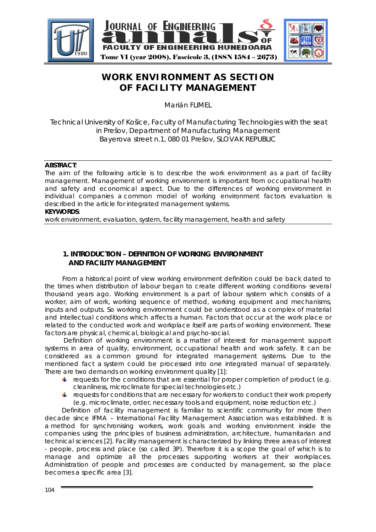

# **WORK ENVIRONMENT AS SECTION OF FACILITY MANAGEMENT**

Marián FLIMEL

Technical University of Košice, Faculty of Manufacturing Technologies with the seat in Prešov, Department of Manufacturing Management Bayerova street n.1, 080 01 Prešov, SLOVAK REPUBLIC

### **ABSTRACT**:

The aim of the following article is to describe the work environment as a part of facility management. Management of working environment is important from occupational health and safety and economical aspect. Due to the differences of working environment in individual companies a common model of working environment factors evaluation is described in the article for integrated management systems. **KEYWORDS**:

work environment, evaluation, system, facility management, health and safety

## **1. INTRODUCTION – DEFINITION OF WORKING ENVIRONMENT AND FACILITY MANAGEMENT**

 From a historical point of view working environment definition could be back dated to the times when distribution of labour began to create different working conditions- several thousand years ago. Working environment is a part of labour system which consists of a worker, aim of work, working sequence of method, working equipment and mechanisms, inputs and outputs. So working environment could be understood as a complex of material and intellectual conditions which affects a human. Factors that occur at the work place or related to the conducted work and workplace itself are parts of working environment. These factors are physical, chemical, biological and psycho-social.

 Definition of working environment is a matter of interest for management support systems in area of quality, environment, occupational health and work safety. It can be considered as a common ground for integrated management systems. Due to the mentioned fact a system could be processed into one integrated manual of separately. There are two demands on working environment quality [1]:

- For requests for the conditions that are essential for proper completion of product (e.g. cleanliness, microclimate for special technologies etc.)
- $\ddagger$  requests for conditions that are necessary for workers to conduct their work properly (e.g. microclimate, order, necessary tools and equipment, noise reduction etc.)

Definition of facility management is familiar to scientific community for more then decade since IFMA – International Facility Management Association was established. It is a method for synchronising workers, work goals and working environment inside the companies using the principles of business administration, architecture, humanitarian and technical sciences [2]. Facility management is characterized by linking three areas of interest - people, process and place (so called 3P). Therefore it is a scope the goal of which is to manage and optimize all the processes supporting workers at their workplaces. Administration of people and processes are conducted by management, so the place becomes a specific area [3].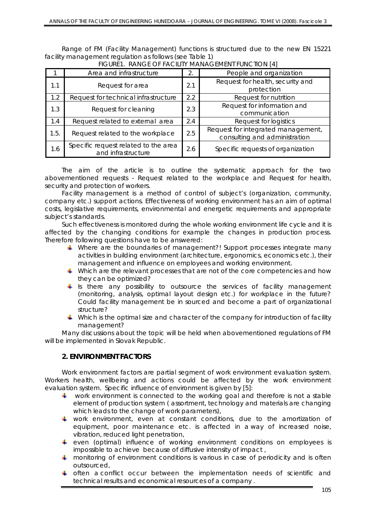Range of FM (Facility Management) functions is structured due to the new EN 15221 facility management regulation as follows (see Table 1)

|      | Area and infrastructure                                    | 2.  | People and organization                                             |
|------|------------------------------------------------------------|-----|---------------------------------------------------------------------|
| 1.1  | Request for area                                           | 2.1 | Request for health, security and<br>protection                      |
| 1.2  | Request for technical infrastructure                       | 2.2 | Request for nutrition                                               |
| 1.3  | Request for cleaning                                       | 2.3 | Request for information and<br>communication                        |
| 1.4  | Request related to external area                           | 2.4 | Request for logistics                                               |
| 1.5. | Request related to the workplace                           | 2.5 | Request for integrated management,<br>consulting and administration |
| 1.6  | Specific request related to the area<br>and infrastructure | 2.6 | Specific requests of organization                                   |

FIGURE1. RANGE OF FACILITY MANAGEMENT FUNCTION [4]

The aim of the article is to outline the systematic approach for the two abovementioned requests - Request related to the workplace and Request for health, security and protection of workers.

Facility management is a method of control of subject's (organization, community, company etc.) support actions. Effectiveness of working environment has an aim of optimal costs, legislative requirements, environmental and energetic requirements and appropriate subject's standards.

Such effectiveness is monitored during the whole working environment life cycle and it is affected by the changing conditions for example the changes in production process. Therefore following questions have to be answered:

- Where are the boundaries of management?! Support processes integrate many activities in building environment (architecture, ergonomics, economics etc.), their management and influence on employees and working environment.
- Which are the relevant processes that are not of the core competencies and how they can be optimized?
- $\frac{1}{2}$  is there any possibility to outsource the services of facility management (monitoring, analysis, optimal layout design etc.) for workplace in the future? Could facility management be in sourced and become a part of organizational structure?
- $\ddot{\bullet}$  Which is the optimal size and character of the company for introduction of facility management?

Many discussions about the topic will be held when abovementioned regulations of FM will be implemented in Slovak Republic.

# **2. ENVIRONMENT FACTORS**

Work environment factors are partial segment of work environment evaluation system. Workers health, wellbeing and actions could be affected by the work environment evaluation system. Specific influence of environment is given by [5]:

- work environment is connected to the working goal and therefore is not a stable element of production system ( assortment, technology and materials are changing which leads to the change of work parameters),
- work environment, even at constant conditions, due to the amortization of equipment, poor maintenance etc. is affected in a way of increased noise, vibration, reduced light penetration,
- even (optimal) influence of working environment conditions on employees is impossible to achieve because of diffusive intensity of impact ,
- **H** monitoring of environment conditions is various in case of periodicity and is often outsourced,
- $\uparrow$  often a conflict occur between the implementation needs of scientific and technical results and economical resources of a company .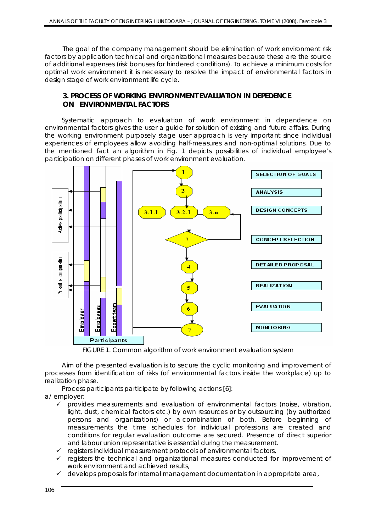The goal of the company management should be elimination of work environment risk factors by application technical and organizational measures because these are the source of additional expenses (risk bonuses for hindered conditions). To achieve a minimum costs for optimal work environment it is necessary to resolve the impact of environmental factors in design stage of work environment life cycle.

### **3. PROCESS OF WORKING ENVIRONMENT EVALUATION IN DEPEDENCE ON ENVIRONMENTAL FACTORS**

 Systematic approach to evaluation of work environment in dependence on environmental factors gives the user a guide for solution of existing and future affairs. During the working environment purposely stage user approach is very important since individual experiences of employees allow avoiding half-measures and non-optimal solutions. Due to the mentioned fact an algorithm in Fig. 1 depicts possibilities of individual employee's participation on different phases of work environment evaluation.



FIGURE 1. Common algorithm of work environment evaluation system

Aim of the presented evaluation is to secure the cyclic monitoring and improvement of processes from identification of risks (of environmental factors inside the workplace) up to realization phase.

Process participants participate by following actions [6]:

a/ employer:

- $\checkmark$  provides measurements and evaluation of environmental factors (noise, vibration, light, dust, chemical factors etc.) by own resources or by outsourcing (by authorized persons and organizations) or a combination of both. Before beginning of measurements the time schedules for individual professions are created and conditions for regular evaluation outcome are secured. Presence of direct superior and labour union representative is essential during the measurement.
- $\checkmark$  registers individual measurement protocols of environmental factors,
- $\checkmark$  registers the technical and organizational measures conducted for improvement of work environment and achieved results,
- $\checkmark$  develops proposals for internal management documentation in appropriate area,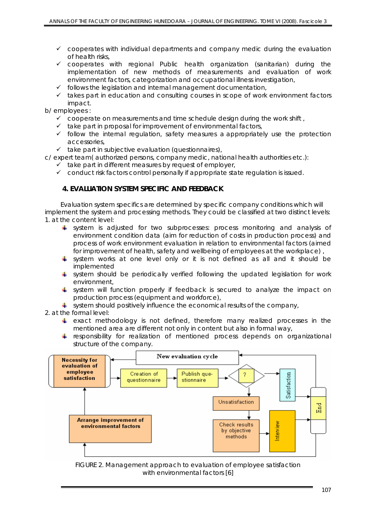- $\checkmark$  cooperates with individual departments and company medic during the evaluation of health risks,
- $\checkmark$  cooperates with regional Public health organization (sanitarian) during the implementation of new methods of measurements and evaluation of work environment factors, categorization and occupational illness investigation,
- $\checkmark$  follows the legislation and internal management documentation,
- $\checkmark$  takes part in education and consulting courses in scope of work environment factors impact.

b/ employees :

- $\checkmark$  cooperate on measurements and time schedule design during the work shift,
- $\checkmark$  take part in proposal for improvement of environmental factors,
- $\checkmark$  follow the internal regulation, safety measures a appropriately use the protection accessories,
- $\checkmark$  take part in subjective evaluation (questionnaires),

c/ expert team( authorized persons, company medic, national health authorities etc.):

- $\checkmark$  take part in different measures by request of employer,
- $\checkmark$  conduct risk factors control personally if appropriate state regulation is issued.

### **4. EVALUATION SYSTEM SPECIFIC AND FEEDBACK**

 Evaluation system specifics are determined by specific company conditions which will implement the system and processing methods. They could be classified at two distinct levels: 1. at the content level:

- system is adjusted for two subprocesses: process monitoring and analysis of environment condition data (aim for reduction of costs in production process) and process of work environment evaluation in relation to environmental factors (aimed for improvement of health, safety and wellbeing of employees at the workplace) ,
- $\ddagger$  system works at one level only or it is not defined as all and it should be implemented
- system should be periodically verified following the updated legislation for work environment,
- system will function properly if feedback is secured to analyze the impact on production process (equipment and workforce),
- $\frac{1}{2}$  system should positively influence the economical results of the company,

2. at the formal level:

- exact methodology is not defined, therefore many realized processes in the mentioned area are different not only in content but also in formal way,
- $\uparrow$  responsibility for realization of mentioned process depends on organizational structure of the company.



FIGURE 2. Management approach to evaluation of employee satisfaction with environmental factors [6]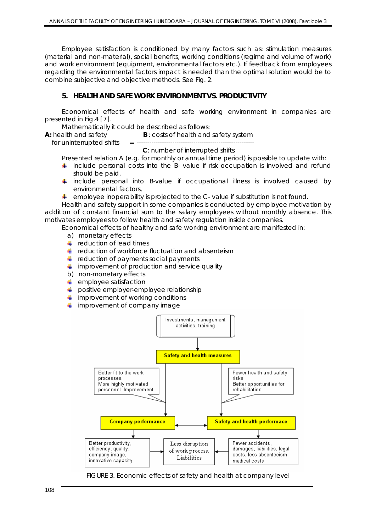Employee satisfaction is conditioned by many factors such as: stimulation measures (material and non-material), social benefits, working conditions (regime and volume of work) and work environment (equipment, environmental factors etc.). If feedback from employees regarding the environmental factors impact is needed than the optimal solution would be to combine subjective and objective methods. See Fig. 2.

# **5. HEALTH AND SAFE WORK ENVIRONMENT VS. PRODUCTIVITY**

Economical effects of health and safe working environment in companies are presented in Fig.4 [7].

Mathematically it could be described as follows:

**A:** health and safety **B** : costs of health and safety system

for uninterrupted shifts = --------------------------------------------------------

#### **C**: number of interrupted shifts

Presented relation A (e.g. for monthly or annual time period) is possible to update with:

- $\ddot{\phantom{1}}$  include personal costs into the B- value if risk occupation is involved and refund should be paid,
- $\frac{1}{2}$  include personal into B-value if occupational illness is involved caused by environmental factors,
- $\ddot{\bullet}$  employee inoperability is projected to the C- value if substitution is not found.

Health and safety support in some companies is conducted by employee motivation by addition of constant financial sum to the salary employees without monthly absence. This motivates employees to follow health and safety regulation inside companies.

Economical effects of healthy and safe working environment are manifested in:

- a) monetary effects
- $\pm$  reduction of lead times
- $\frac{4}{3}$  reduction of workforce fluctuation and absenteism
- $\frac{1}{\sqrt{2}}$  reduction of payments social payments
- $\ddot{\phantom{1}}$  improvement of production and service quality
- b) non-monetary effects
- $\leftarrow$  employee satisfaction
- positive employer-employee relationship
- $\ddot{\phantom{1}}$  improvement of working conditions
- $\ddot{\phantom{1}}$  improvement of company image



FIGURE 3. Economic effects of safety and health at company level